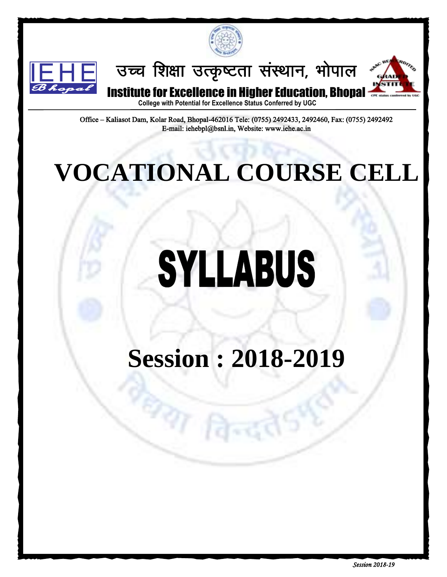



उच्च शिक्षा उत्कृष्टता संस्थान, भोपाल



Institute for Excellence in Higher Education, Bhopal

**College with Potential for Excellence Status Conferred by UGC**

Office – Kaliasot Dam, Kolar Road, Bhopal-462016 Tele: (0755) 2492433, 2492460, Fax: (0755) 2492492 E-mail: iehebpl@bsnl.in, Website: www.iehe.ac.in

# **VOCATIONAL COURSE CELL**

# SYLLABUS

# **Session : 2018-2019**

**PAT R**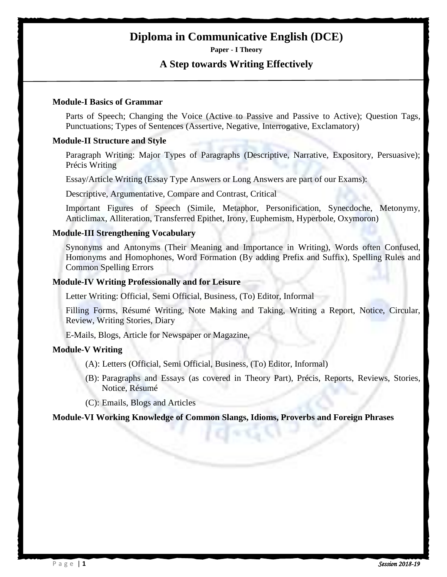# **Diploma in Communicative English (DCE)**

**Paper - I Theory**

#### **A Step towards Writing Effectively**

#### **Module-I Basics of Grammar**

Parts of Speech; Changing the Voice (Active to Passive and Passive to Active); Question Tags, Punctuations; Types of Sentences (Assertive, Negative, Interrogative, Exclamatory)

#### **Module-II Structure and Style**

Paragraph Writing: Major Types of Paragraphs (Descriptive, Narrative, Expository, Persuasive); Précis Writing

Essay/Article Writing (Essay Type Answers or Long Answers are part of our Exams):

Descriptive, Argumentative, Compare and Contrast, Critical

Important Figures of Speech (Simile, Metaphor, Personification, Synecdoche, Metonymy, Anticlimax, Alliteration, Transferred Epithet, Irony, Euphemism, Hyperbole, Oxymoron)

#### **Module-III Strengthening Vocabulary**

Synonyms and Antonyms (Their Meaning and Importance in Writing), Words often Confused, Homonyms and Homophones, Word Formation (By adding Prefix and Suffix), Spelling Rules and Common Spelling Errors

#### **Module-IV Writing Professionally and for Leisure**

Letter Writing: Official, Semi Official, Business, (To) Editor, Informal

Filling Forms, Résumé Writing, Note Making and Taking, Writing a Report, Notice, Circular, Review, Writing Stories, Diary

E-Mails, Blogs, Article for Newspaper or Magazine,

#### **Module-V Writing**

- (A): Letters (Official, Semi Official, Business, (To) Editor, Informal)
- (B): Paragraphs and Essays (as covered in Theory Part), Précis, Reports, Reviews, Stories, Notice, Résumé

(C): Emails, Blogs and Articles

#### **Module-VI Working Knowledge of Common Slangs, Idioms, Proverbs and Foreign Phrases**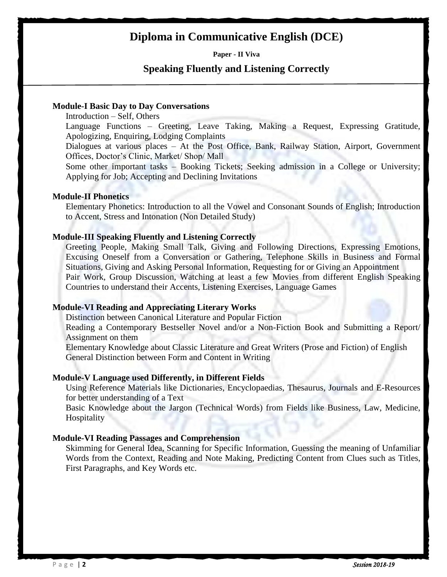# **Diploma in Communicative English (DCE)**

**Paper - II Viva**

#### **Speaking Fluently and Listening Correctly**

#### **Module-I Basic Day to Day Conversations**

Introduction – Self, Others

Language Functions – Greeting, Leave Taking, Making a Request, Expressing Gratitude, Apologizing, Enquiring, Lodging Complaints

Dialogues at various places – At the Post Office, Bank, Railway Station, Airport, Government Offices, Doctor"s Clinic, Market/ Shop/ Mall

Some other important tasks – Booking Tickets; Seeking admission in a College or University; Applying for Job; Accepting and Declining Invitations

#### **Module-II Phonetics**

Elementary Phonetics: Introduction to all the Vowel and Consonant Sounds of English; Introduction to Accent, Stress and Intonation (Non Detailed Study)

#### **Module-III Speaking Fluently and Listening Correctly**

Greeting People, Making Small Talk, Giving and Following Directions, Expressing Emotions, Excusing Oneself from a Conversation or Gathering, Telephone Skills in Business and Formal Situations, Giving and Asking Personal Information, Requesting for or Giving an Appointment Pair Work, Group Discussion, Watching at least a few Movies from different English Speaking Countries to understand their Accents, Listening Exercises, Language Games

#### **Module-VI Reading and Appreciating Literary Works**

Distinction between Canonical Literature and Popular Fiction

Reading a Contemporary Bestseller Novel and/or a Non-Fiction Book and Submitting a Report/ Assignment on them

Elementary Knowledge about Classic Literature and Great Writers (Prose and Fiction) of English General Distinction between Form and Content in Writing

#### **Module-V Language used Differently, in Different Fields**

Using Reference Materials like Dictionaries, Encyclopaedias, Thesaurus, Journals and E-Resources for better understanding of a Text

Basic Knowledge about the Jargon (Technical Words) from Fields like Business, Law, Medicine, Hospitality

#### **Module-VI Reading Passages and Comprehension**

Skimming for General Idea, Scanning for Specific Information, Guessing the meaning of Unfamiliar Words from the Context, Reading and Note Making, Predicting Content from Clues such as Titles, First Paragraphs, and Key Words etc.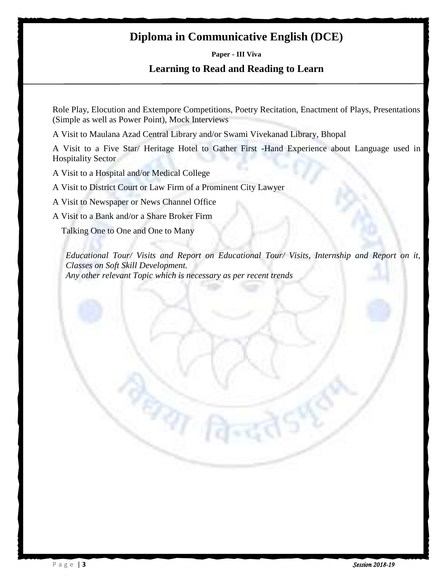# **Diploma in Communicative English (DCE)**

**Paper - III Viva**

#### **Learning to Read and Reading to Learn**

Role Play, Elocution and Extempore Competitions, Poetry Recitation, Enactment of Plays, Presentations (Simple as well as Power Point), Mock Interviews

A Visit to Maulana Azad Central Library and/or Swami Vivekanad Library, Bhopal

A Visit to a Five Star/ Heritage Hotel to Gather First -Hand Experience about Language used in Hospitality Sector

A Visit to a Hospital and/or Medical College

A Visit to District Court or Law Firm of a Prominent City Lawyer

 $\epsilon_{\text{eff}}$ 

A Visit to Newspaper or News Channel Office

A Visit to a Bank and/or a Share Broker Firm

Talking One to One and One to Many

*Educational Tour/ Visits and Report on Educational Tour/ Visits, Internship and Report on it, Classes on Soft Skill Development. Any other relevant Topic which is necessary as per recent trends*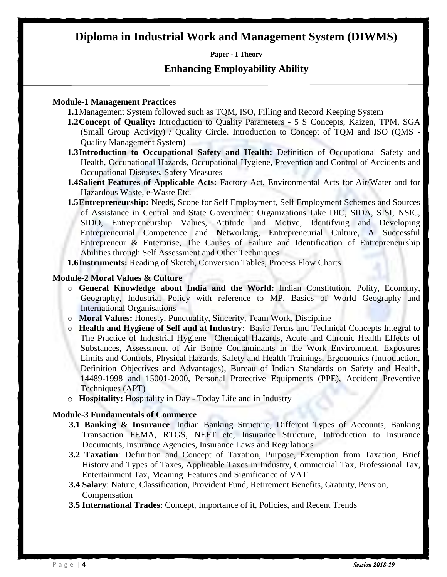# **Diploma in Industrial Work and Management System (DIWMS)**

**Paper - I Theory**

#### **Enhancing Employability Ability**

#### **Module-1 Management Practices**

**1.1**Management System followed such as TQM, ISO, Filling and Record Keeping System

1.2 Concept of Quality: Introduction to Quality Parameters - 5 S Concepts, Kaizen, TPM, SGA (Small Group Activity) / Quality Circle. Introduction to Concept of TQM and ISO (QMS - Quality Management System)

- **1.3Introduction to Occupational Safety and Health:** Definition of Occupational Safety and Health, Occupational Hazards, Occupational Hygiene, Prevention and Control of Accidents and Occupational Diseases, Safety Measures
- **1.4Salient Features of Applicable Acts:** Factory Act, Environmental Acts for Air/Water and for Hazardous Waste, e-Waste Etc.
- **1.5Entrepreneurship:** Needs, Scope for Self Employment, Self Employment Schemes and Sources of Assistance in Central and State Government Organizations Like DIC, SIDA, SISI, NSIC, SIDO, Entrepreneurship Values, Attitude and Motive, Identifying and Developing Entrepreneurial Competence and Networking, Entrepreneurial Culture, A Successful Entrepreneur & Enterprise, The Causes of Failure and Identification of Entrepreneurship Abilities through Self Assessment and Other Techniques
- **1.6Instruments:** Reading of Sketch, Conversion Tables, Process Flow Charts

#### **Module-2 Moral Values & Culture**

- o **General Knowledge about India and the World:** Indian Constitution, Polity, Economy, Geography, Industrial Policy with reference to MP, Basics of World Geography and International Organisations
- o **Moral Values:** Honesty, Punctuality, Sincerity, Team Work, Discipline
- o **Health and Hygiene of Self and at Industry**: Basic Terms and Technical Concepts Integral to The Practice of Industrial Hygiene –Chemical Hazards, Acute and Chronic Health Effects of Substances, Assessment of Air Borne Contaminants in the Work Environment, Exposures Limits and Controls, Physical Hazards, Safety and Health Trainings, Ergonomics (Introduction, Definition Objectives and Advantages), Bureau of Indian Standards on Safety and Health, 14489-1998 and 15001-2000, Personal Protective Equipments (PPE), Accident Preventive Techniques (APT)
- o **Hospitality:** Hospitality in Day Today Life and in Industry

#### **Module-3 Fundamentals of Commerce**

- **3.1 Banking & Insurance**: Indian Banking Structure, Different Types of Accounts, Banking Transaction FEMA, RTGS, NEFT etc, Insurance Structure, Introduction to Insurance Documents, Insurance Agencies, Insurance Laws and Regulations
- **3.2 Taxation**: Definition and Concept of Taxation, Purpose, Exemption from Taxation, Brief History and Types of Taxes, Applicable Taxes in Industry, Commercial Tax, Professional Tax, Entertainment Tax, Meaning Features and Significance of VAT
- **3.4 Salary**: Nature, Classification, Provident Fund, Retirement Benefits, Gratuity, Pension, Compensation
- **3.5 International Trades**: Concept, Importance of it, Policies, and Recent Trends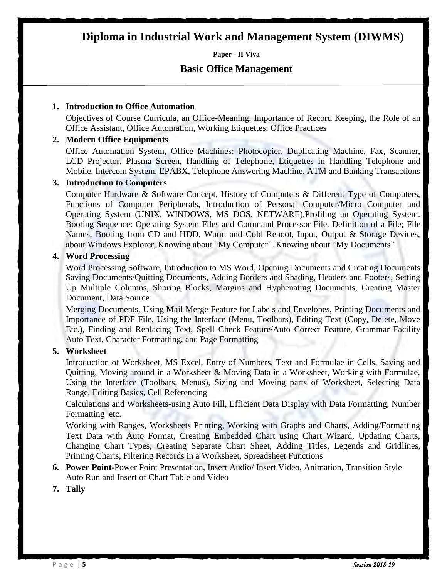# **Diploma in Industrial Work and Management System (DIWMS)**

**Paper - II Viva**

#### **Basic Office Management**

#### **1. Introduction to Office Automation**

Objectives of Course Curricula, an Office-Meaning, Importance of Record Keeping, the Role of an Office Assistant, Office Automation, Working Etiquettes; Office Practices

#### **2. Modern Office Equipments**

Office Automation System, Office Machines: Photocopier, Duplicating Machine, Fax, Scanner, LCD Projector, Plasma Screen, Handling of Telephone, Etiquettes in Handling Telephone and Mobile, Intercom System, EPABX, Telephone Answering Machine. ATM and Banking Transactions

#### **3. Introduction to Computers**

Computer Hardware & Software Concept, History of Computers & Different Type of Computers, Functions of Computer Peripherals, Introduction of Personal Computer/Micro Computer and Operating System (UNIX, WINDOWS, MS DOS, NETWARE),Profiling an Operating System. Booting Sequence: Operating System Files and Command Processor File. Definition of a File; File Names, Booting from CD and HDD, Warm and Cold Reboot, Input, Output & Storage Devices, about Windows Explorer, Knowing about "My Computer", Knowing about "My Documents"

#### **4. Word Processing**

Word Processing Software, Introduction to MS Word, Opening Documents and Creating Documents Saving Documents/Quitting Documents, Adding Borders and Shading, Headers and Footers, Setting Up Multiple Columns, Shoring Blocks, Margins and Hyphenating Documents, Creating Master Document, Data Source

Merging Documents, Using Mail Merge Feature for Labels and Envelopes, Printing Documents and Importance of PDF File, Using the Interface (Menu, Toolbars), Editing Text (Copy, Delete, Move Etc.), Finding and Replacing Text, Spell Check Feature/Auto Correct Feature, Grammar Facility Auto Text, Character Formatting, and Page Formatting

#### **5. Worksheet**

Introduction of Worksheet, MS Excel, Entry of Numbers, Text and Formulae in Cells, Saving and Quitting, Moving around in a Worksheet & Moving Data in a Worksheet, Working with Formulae, Using the Interface (Toolbars, Menus), Sizing and Moving parts of Worksheet, Selecting Data Range, Editing Basics, Cell Referencing

Calculations and Worksheets-using Auto Fill, Efficient Data Display with Data Formatting, Number Formatting etc.

Working with Ranges, Worksheets Printing, Working with Graphs and Charts, Adding/Formatting Text Data with Auto Format, Creating Embedded Chart using Chart Wizard, Updating Charts, Changing Chart Types, Creating Separate Chart Sheet, Adding Titles, Legends and Gridlines, Printing Charts, Filtering Records in a Worksheet, Spreadsheet Functions

- **6. Power Point-**Power Point Presentation, Insert Audio/ Insert Video, Animation, Transition Style Auto Run and Insert of Chart Table and Video
- **7. Tally**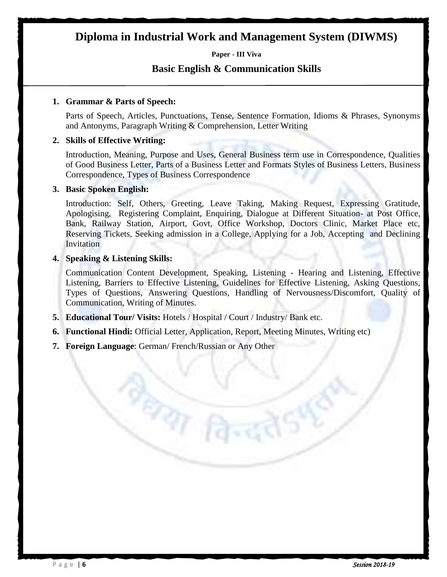# **Diploma in Industrial Work and Management System (DIWMS)**

**Paper - III Viva**

#### **Basic English & Communication Skills**

#### **1. Grammar & Parts of Speech:**

Parts of Speech, Articles, Punctuations, Tense, Sentence Formation, Idioms & Phrases, Synonyms and Antonyms, Paragraph Writing & Comprehension, Letter Writing

#### **2. Skills of Effective Writing:**

Introduction, Meaning, Purpose and Uses, General Business term use in Correspondence, Qualities of Good Business Letter, Parts of a Business Letter and Formats Styles of Business Letters, Business Correspondence, Types of Business Correspondence

#### **3. Basic Spoken English:**

Introduction: Self, Others, Greeting, Leave Taking, Making Request, Expressing Gratitude, Apologising, Registering Complaint, Enquiring, Dialogue at Different Situation- at Post Office, Bank, Railway Station, Airport, Govt, Office Workshop, Doctors Clinic, Market Place etc, Reserving Tickets, Seeking admission in a College, Applying for a Job, Accepting and Declining **Invitation** 

#### **4. Speaking & Listening Skills:**

Communication Content Development, Speaking, Listening - Hearing and Listening, Effective Listening, Barriers to Effective Listening, Guidelines for Effective Listening, Asking Questions, Types of Questions, Answering Questions, Handling of Nervousness/Discomfort, Quality of Communication, Writing of Minutes.

**5. Educational Tour/ Visits:** Hotels / Hospital / Court / Industry/ Bank etc.

**Par Fa** 

- **6. Functional Hindi:** Official Letter, Application, Report, Meeting Minutes, Writing etc)
- **7. Foreign Language**: German/ French/Russian or Any Other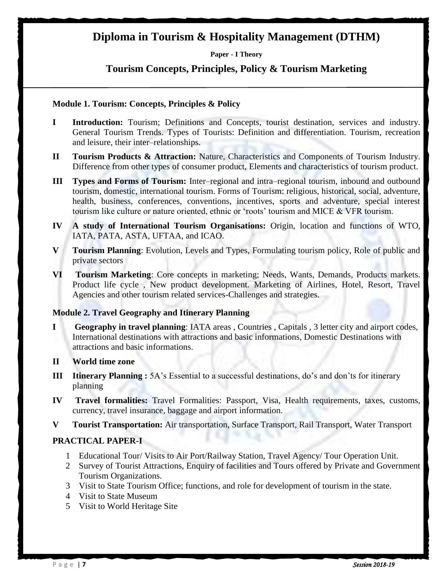# **Diploma in Tourism & Hospitality Management (DTHM)**

**Paper - I Theory**

#### **Tourism Concepts, Principles, Policy & Tourism Marketing**

#### **Module 1. Tourism: Concepts, Principles & Policy**

- **I Introduction:** Tourism; Definitions and Concepts, tourist destination, services and industry. General Tourism Trends. Types of Tourists: Definition and differentiation. Tourism, recreation and leisure, their inter–relationships.
- **II Tourism Products & Attraction:** Nature, Characteristics and Components of Tourism Industry. Difference from other types of consumer product, Elements and characteristics of tourism product.
- **III Types and Forms of Tourism:** Inter–regional and intra–regional tourism, inbound and outbound tourism, domestic, international tourism. Forms of Tourism: religious, historical, social, adventure, health, business, conferences, conventions, incentives, sports and adventure, special interest tourism like culture or nature oriented, ethnic or "roots" tourism and MICE & VFR tourism.
- **IV A study of International Tourism Organisations:** Origin, location and functions of WTO, IATA, PATA, ASTA, UFTAA, and ICAO.
- **V Tourism Planning**: Evolution, Levels and Types, Formulating tourism policy, Role of public and private sectors
- **VI Tourism Marketing**: Core concepts in marketing; Needs, Wants, Demands, Products markets. Product life cycle , New product development. Marketing of Airlines, Hotel, Resort, Travel Agencies and other tourism related services-Challenges and strategies.

#### **Module 2. Travel Geography and Itinerary Planning**

- **I Geography in travel planning**: IATA areas , Countries , Capitals , 3 letter city and airport codes, International destinations with attractions and basic informations, Domestic Destinations with attractions and basic informations.
- **II World time zone**
- **III** Itinerary Planning : 5A's Essential to a successful destinations, do's and don'ts for itinerary planning
- **IV Travel formalities:** Travel Formalities: Passport, Visa, Health requirements, taxes, customs, currency, travel insurance, baggage and airport information.
- **V Tourist Transportation:** Air transportation, Surface Transport, Rail Transport, Water Transport

#### **PRACTICAL PAPER-I**

- 1 Educational Tour/ Visits to Air Port/Railway Station, Travel Agency/ Tour Operation Unit.
- 2 Survey of Tourist Attractions, Enquiry of facilities and Tours offered by Private and Government Tourism Organizations.
- 3 Visit to State Tourism Office; functions, and role for development of tourism in the state.
- 4 Visit to State Museum
- 5 Visit to World Heritage Site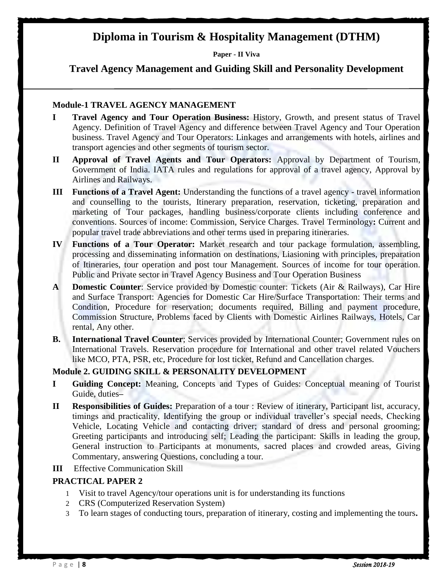# **Diploma in Tourism & Hospitality Management (DTHM)**

**Paper - II Viva**

**Travel Agency Management and Guiding Skill and Personality Development**

#### **Module-1 TRAVEL AGENCY MANAGEMENT**

- **I Travel Agency and Tour Operation Business:** History, Growth, and present status of Travel Agency. Definition of Travel Agency and difference between Travel Agency and Tour Operation business. Travel Agency and Tour Operators: Linkages and arrangements with hotels, airlines and transport agencies and other segments of tourism sector.
- **II Approval of Travel Agents and Tour Operators:** Approval by Department of Tourism, Government of India. IATA rules and regulations for approval of a travel agency, Approval by Airlines and Railways.
- **III Functions of a Travel Agent:** Understanding the functions of a travel agency travel information and counselling to the tourists, Itinerary preparation, reservation, ticketing, preparation and marketing of Tour packages, handling business/corporate clients including conference and conventions. Sources of income: Commission, Service Charges. Travel Terminology**:** Current and popular travel trade abbreviations and other terms used in preparing itineraries.
- **IV Functions of a Tour Operator:** Market research and tour package formulation, assembling, processing and disseminating information on destinations, Liasioning with principles, preparation of Itineraries, tour operation and post tour Management. Sources of income for tour operation. Public and Private sector in Travel Agency Business and Tour Operation Business
- **A Domestic Counter**: Service provided by Domestic counter: Tickets (Air & Railways), Car Hire and Surface Transport: Agencies for Domestic Car Hire/Surface Transportation: Their terms and Condition, Procedure for reservation; documents required, Billing and payment procedure, Commission Structure, Problems faced by Clients with Domestic Airlines Railways, Hotels, Car rental, Any other.
- **B.** International Travel Counter; Services provided by International Counter; Government rules on International Travels. Reservation procedure for International and other travel related Vouchers like MCO, PTA, PSR, etc, Procedure for lost ticket, Refund and Cancellation charges.

#### **Module 2. GUIDING SKILL & PERSONALITY DEVELOPMENT**

- **I Guiding Concept:** Meaning, Concepts and Types of Guides: Conceptual meaning of Tourist Guide, duties**–**
- **II Responsibilities of Guides:** Preparation of a tour : Review of itinerary, Participant list, accuracy, timings and practicality, Identifying the group or individual traveller"s special needs, Checking Vehicle, Locating Vehicle and contacting driver; standard of dress and personal grooming; Greeting participants and introducing self; Leading the participant: Skills in leading the group, General instruction to Participants at monuments, sacred places and crowded areas, Giving Commentary, answering Questions, concluding a tour.
- **III** Effective Communication Skill

#### **PRACTICAL PAPER 2**

- 1 Visit to travel Agency/tour operations unit is for understanding its functions
- 2 CRS (Computerized Reservation System)
- 3 To learn stages of conducting tours, preparation of itinerary, costing and implementing the tours**.**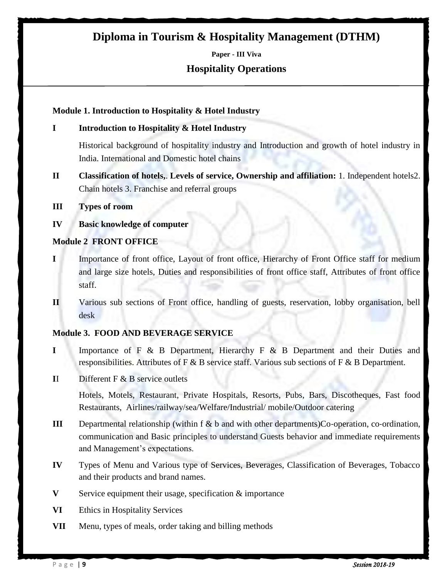# **Diploma in Tourism & Hospitality Management (DTHM)**

**Paper - III Viva Hospitality Operations**

#### **Module 1. Introduction to Hospitality & Hotel Industry**

#### **I Introduction to Hospitality & Hotel Industry**

Historical background of hospitality industry and Introduction and growth of hotel industry in India. International and Domestic hotel chains

- **II Classification of hotels,**. **Levels of service, Ownership and affiliation:** 1. Independent hotels2. Chain hotels 3. Franchise and referral groups
- **III Types of room**

#### **IV Basic knowledge of computer**

#### **Module 2 FRONT OFFICE**

- **I** Importance of front office, Layout of front office, Hierarchy of Front Office staff for medium and large size hotels, Duties and responsibilities of front office staff, Attributes of front office staff.
- **II** Various sub sections of Front office, handling of guests, reservation, lobby organisation, bell desk

#### **Module 3. FOOD AND BEVERAGE SERVICE**

- **I** Importance of F & B Department, Hierarchy F & B Department and their Duties and responsibilities. Attributes of F & B service staff. Various sub sections of F & B Department.
- **I**I Different F & B service outlets

Hotels, Motels, Restaurant, Private Hospitals, Resorts, Pubs, Bars, Discotheques, Fast food Restaurants, Airlines/railway/sea/Welfare/Industrial/ mobile/Outdoor catering

- **III** Departmental relationship (within f & b and with other departments)Co-operation, co-ordination, communication and Basic principles to understand Guests behavior and immediate requirements and Management's expectations.
- **IV** Types of Menu and Various type of Services, Beverages, Classification of Beverages, Tobacco and their products and brand names.
- **V** Service equipment their usage, specification & importance
- **VI** Ethics in Hospitality Services
- **VII** Menu, types of meals, order taking and billing methods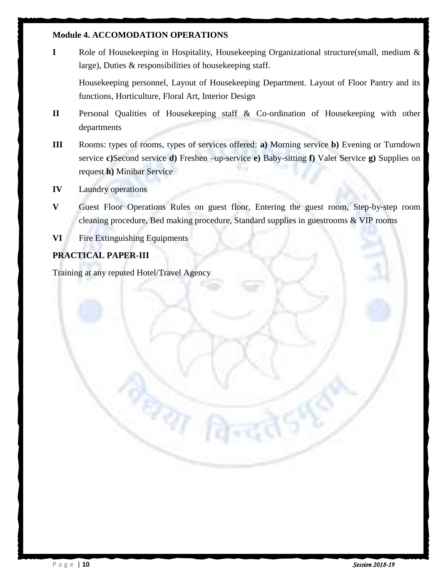#### **Module 4. ACCOMODATION OPERATIONS**

**I** Role of Housekeeping in Hospitality, Housekeeping Organizational structure(small, medium & large), Duties & responsibilities of housekeeping staff.

Housekeeping personnel, Layout of Housekeeping Department. Layout of Floor Pantry and its functions, Horticulture, Floral Art, Interior Design

- **II** Personal Qualities of Housekeeping staff & Co-ordination of Housekeeping with other departments
- **III** Rooms: types of rooms, types of services offered: **a)** Morning service **b)** Evening or Turndown service **c)**Second service **d)** Freshen –up‐service **e)** Baby-sitting **f)** Valet Service **g)** Supplies on request **h)** Minibar Service
- **IV** Laundry operations
- **V** Guest Floor Operations Rules on guest floor, Entering the guest room, Step‐by‐step room cleaning procedure, Bed making procedure, Standard supplies in guestrooms & VIP rooms
- **VI** Fire Extinguishing Equipments

#### **PRACTICAL PAPER-III**

Training at any reputed Hotel/Travel Agency

थया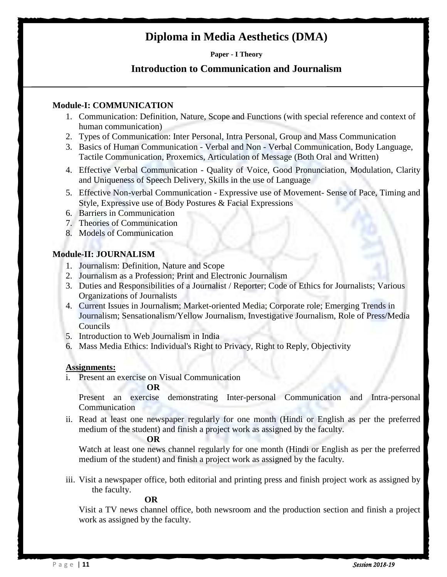# **Diploma in Media Aesthetics (DMA)**

#### **Paper - I Theory**

#### **Introduction to Communication and Journalism**

#### **Module-I: COMMUNICATION**

- 1. Communication: Definition, Nature, Scope and Functions (with special reference and context of human communication)
- 2. Types of Communication: Inter Personal, Intra Personal, Group and Mass Communication
- 3. Basics of Human Communication Verbal and Non Verbal Communication, Body Language, Tactile Communication, Proxemics, Articulation of Message (Both Oral and Written)
- 4. Effective Verbal Communication Quality of Voice, Good Pronunciation, Modulation, Clarity and Uniqueness of Speech Delivery, Skills in the use of Language
- 5. Effective Non-verbal Communication Expressive use of Movement- Sense of Pace, Timing and Style, Expressive use of Body Postures & Facial Expressions
- 6. Barriers in Communication
- 7. Theories of Communication
- 8. Models of Communication

#### **Module-II: JOURNALISM**

- 1. Journalism: Definition, Nature and Scope
- 2. Journalism as a Profession; Print and Electronic Journalism
- 3. Duties and Responsibilities of a Journalist / Reporter; Code of Ethics for Journalists; Various Organizations of Journalists
- 4. Current Issues in Journalism; Market-oriented Media; Corporate role; Emerging Trends in Journalism; Sensationalism/Yellow Journalism, Investigative Journalism, Role of Press/Media Councils
- 5. Introduction to Web Journalism in India
- 6. Mass Media Ethics: Individual's Right to Privacy, Right to Reply, Objectivity

#### **Assignments:**

i. Present an exercise on Visual Communication

#### **OR**

Present an exercise demonstrating Inter-personal Communication and Intra-personal Communication

ii. Read at least one newspaper regularly for one month (Hindi or English as per the preferred medium of the student) and finish a project work as assigned by the faculty.

#### **OR**

Watch at least one news channel regularly for one month (Hindi or English as per the preferred medium of the student) and finish a project work as assigned by the faculty.

iii. Visit a newspaper office, both editorial and printing press and finish project work as assigned by the faculty.

#### **OR**

Visit a TV news channel office, both newsroom and the production section and finish a project work as assigned by the faculty.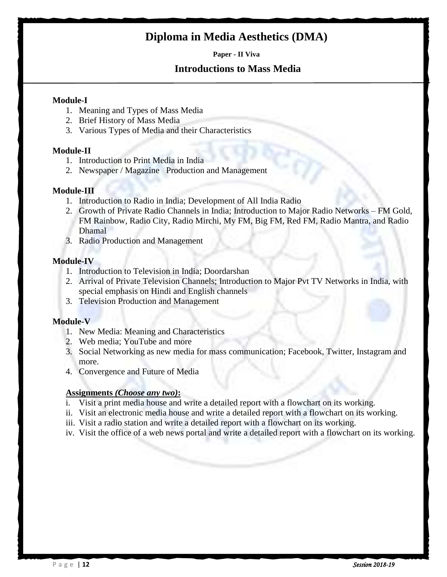# **Diploma in Media Aesthetics (DMA)**

**Paper - II Viva**

#### **Introductions to Mass Media**

#### **Module-I**

- 1. Meaning and Types of Mass Media
- 2. Brief History of Mass Media
- 3. Various Types of Media and their Characteristics

#### **Module-II**

- 1. Introduction to Print Media in India
- 2. Newspaper / Magazine Production and Management

#### **Module-III**

- 1. Introduction to Radio in India; Development of All India Radio
- 2. Growth of Private Radio Channels in India; Introduction to Major Radio Networks FM Gold, FM Rainbow, Radio City, Radio Mirchi, My FM, Big FM, Red FM, Radio Mantra, and Radio Dhamal
- 3. Radio Production and Management

#### **Module-IV**

- 1. Introduction to Television in India; Doordarshan
- 2. Arrival of Private Television Channels; Introduction to Major Pvt TV Networks in India, with special emphasis on Hindi and English channels
- 3. Television Production and Management

#### **Module-V**

- 1. New Media: Meaning and Characteristics
- 2. Web media; YouTube and more
- 3. Social Networking as new media for mass communication; Facebook, Twitter, Instagram and more.
- 4. Convergence and Future of Media

#### **Assignments** *(Choose any two)***:**

- i. Visit a print media house and write a detailed report with a flowchart on its working.
- ii. Visit an electronic media house and write a detailed report with a flowchart on its working.
- iii. Visit a radio station and write a detailed report with a flowchart on its working.
- iv. Visit the office of a web news portal and write a detailed report with a flowchart on its working.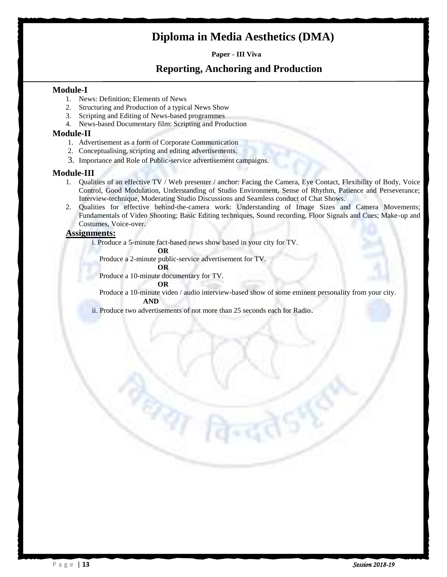# **Diploma in Media Aesthetics (DMA)**

**Paper - III Viva**

#### **Reporting, Anchoring and Production**

#### **Module-I**

- 1. News: Definition; Elements of News
- 2. Structuring and Production of a typical News Show
- 3. Scripting and Editing of News-based programmes
- 4. News-based Documentary film: Scripting and Production

#### **Module-II**

- 1. Advertisement as a form of Corporate Communication
- 2. Conceptualising, scripting and editing advertisements.
- 3. Importance and Role of Public-service advertisement campaigns.

#### **Module-III**

- 1. Qualities of an effective TV / Web presenter / anchor: Facing the Camera, Eye Contact, Flexibility of Body, Voice Control, Good Modulation, Understanding of Studio Environment, Sense of Rhythm, Patience and Perseverance; Interview-technique, Moderating Studio Discussions and Seamless conduct of Chat Shows.
- 2. Qualities for effective behind-the-camera work: Understanding of Image Sizes and Camera Movements; Fundamentals of Video Shooting; Basic Editing techniques, Sound recording, Floor Signals and Cues; Make-up and Costumes, Voice-over.

#### **Assignments:**

i. Produce a 5-minute fact-based news show based in your city for TV.

**OR**

Produce a 2-minute public-service advertisement for TV.

#### **OR**

Produce a 10-minute documentary for TV.

ERRY

#### **OR**

 Produce a 10-minute video / audio interview-based show of some eminent personality from your city.  **AND**

ii. Produce two advertisements of not more than 25 seconds each for Radio.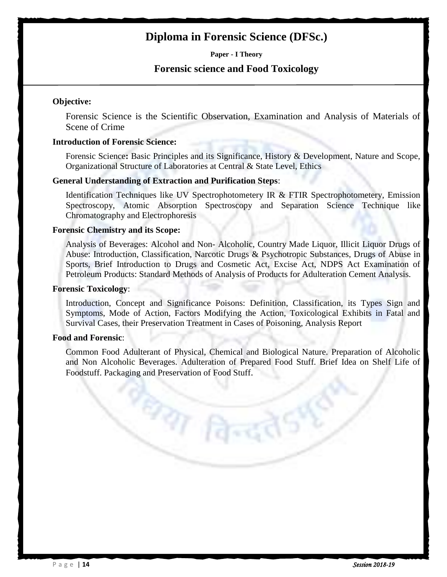# **Diploma in Forensic Science (DFSc.)**

**Paper - I Theory**

#### **Forensic science and Food Toxicology**

#### **Objective:**

Forensic Science is the Scientific Observation, Examination and Analysis of Materials of Scene of Crime

#### **Introduction of Forensic Science:**

Forensic Science**:** Basic Principles and its Significance, History & Development, Nature and Scope, Organizational Structure of Laboratories at Central & State Level, Ethics

#### **General Understanding of Extraction and Purification Steps**:

Identification Techniques like UV Spectrophotometery IR & FTIR Spectrophotometery, Emission Spectroscopy, Atomic Absorption Spectroscopy and Separation Science Technique like Chromatography and Electrophoresis

#### **Forensic Chemistry and its Scope:**

Analysis of Beverages: Alcohol and Non- Alcoholic, Country Made Liquor, Illicit Liquor Drugs of Abuse: Introduction, Classification, Narcotic Drugs & Psychotropic Substances, Drugs of Abuse in Sports, Brief Introduction to Drugs and Cosmetic Act, Excise Act, NDPS Act Examination of Petroleum Products: Standard Methods of Analysis of Products for Adulteration Cement Analysis.

#### **Forensic Toxicology**:

Introduction, Concept and Significance Poisons: Definition, Classification, its Types Sign and Symptoms, Mode of Action, Factors Modifying the Action, Toxicological Exhibits in Fatal and Survival Cases, their Preservation Treatment in Cases of Poisoning, Analysis Report

#### **Food and Forensic**:

Common Food Adulterant of Physical, Chemical and Biological Nature. Preparation of Alcoholic and Non Alcoholic Beverages. Adulteration of Prepared Food Stuff. Brief Idea on Shelf Life of Foodstuff. Packaging and Preservation of Food Stuff.

**PAT REA**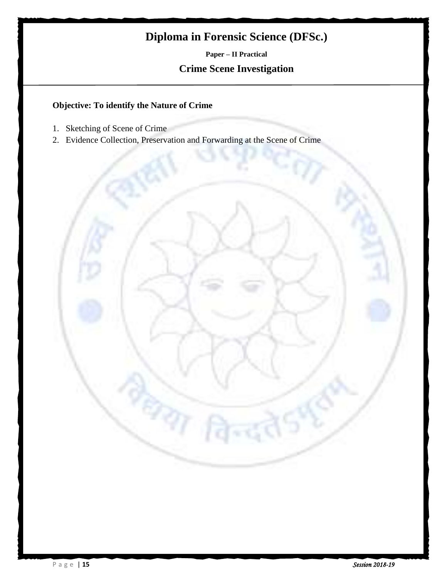# **Diploma in Forensic Science (DFSc.)**

**Paper – II Practical Crime Scene Investigation**

#### **Objective: To identify the Nature of Crime**

- 1. Sketching of Scene of Crime
- 2. Evidence Collection, Preservation and Forwarding at the Scene of Crime

97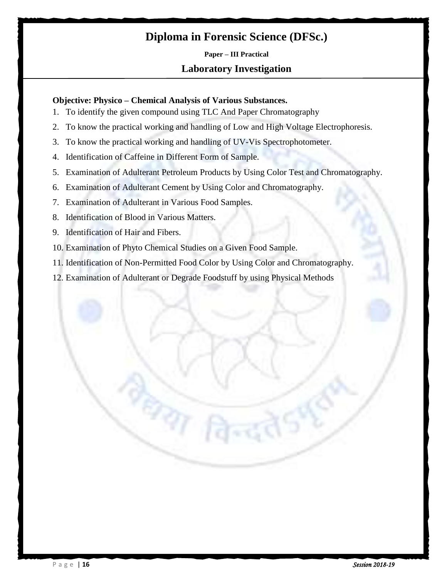# **Diploma in Forensic Science (DFSc.)**

# **Paper – III Practical Laboratory Investigation**

#### **Objective: Physico – Chemical Analysis of Various Substances.**

- 1. To identify the given compound using TLC And Paper Chromatography
- 2. To know the practical working and handling of Low and High Voltage Electrophoresis.
- 3. To know the practical working and handling of UV-Vis Spectrophotometer.
- 4. Identification of Caffeine in Different Form of Sample.
- 5. Examination of Adulterant Petroleum Products by Using Color Test and Chromatography.
- 6. Examination of Adulterant Cement by Using Color and Chromatography.
- 7. Examination of Adulterant in Various Food Samples.
- 8. Identification of Blood in Various Matters.
- 9. Identification of Hair and Fibers.
- 10. Examination of Phyto Chemical Studies on a Given Food Sample.

**BAT** 

- 11. Identification of Non-Permitted Food Color by Using Color and Chromatography.
- 12. Examination of Adulterant or Degrade Foodstuff by using Physical Methods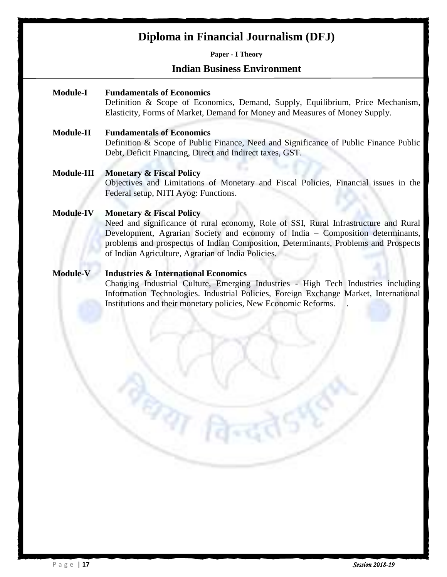# **Diploma in Financial Journalism (DFJ)**

#### **Paper - I Theory**

#### **Indian Business Environment**

#### **Module-I Fundamentals of Economics**

Definition & Scope of Economics, Demand, Supply, Equilibrium, Price Mechanism, Elasticity, Forms of Market, Demand for Money and Measures of Money Supply.

#### **Module-II Fundamentals of Economics**

Definition & Scope of Public Finance, Need and Significance of Public Finance Public Debt, Deficit Financing, Direct and Indirect taxes, GST.

#### **Module-III Monetary & Fiscal Policy**

Objectives and Limitations of Monetary and Fiscal Policies, Financial issues in the Federal setup, NITI Ayog: Functions.

#### **Module-IV Monetary & Fiscal Policy**

Need and significance of rural economy, Role of SSI, Rural Infrastructure and Rural Development, Agrarian Society and economy of India – Composition determinants, problems and prospectus of Indian Composition, Determinants, Problems and Prospects of Indian Agriculture, Agrarian of India Policies.

#### **Module-V Industries & International Economics**

**PAT R** 

Changing Industrial Culture, Emerging Industries - High Tech Industries including Information Technologies. Industrial Policies, Foreign Exchange Market, International Institutions and their monetary policies, New Economic Reforms. .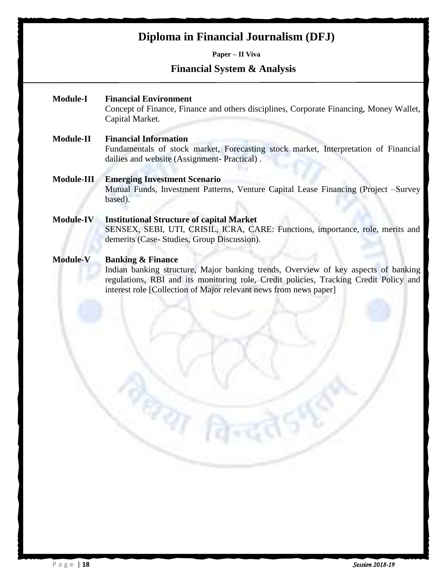# **Diploma in Financial Journalism (DFJ)**

**Paper – II Viva**

#### **Financial System & Analysis**

- **Module-I Financial Environment** Concept of Finance, Finance and others disciplines, Corporate Financing, Money Wallet, Capital Market. **Module-II Financial Information**
	- Fundamentals of stock market, Forecasting stock market, Interpretation of Financial dailies and website (Assignment- Practical) .
- **Module-III Emerging Investment Scenario** Mutual Funds, Investment Patterns, Venture Capital Lease Financing (Project –Survey based).
- **Module-IV Institutional Structure of capital Market** SENSEX, SEBI, UTI, CRISIL, ICRA, CARE: Functions, importance, role, merits and demerits (Case- Studies, Group Discussion).
- **Module-V Banking & Finance**

**PAT R** 

Indian banking structure, Major banking trends, Overview of key aspects of banking regulations, RBI and its monitoring role, Credit policies, Tracking Credit Policy and interest role [Collection of Major relevant news from news paper]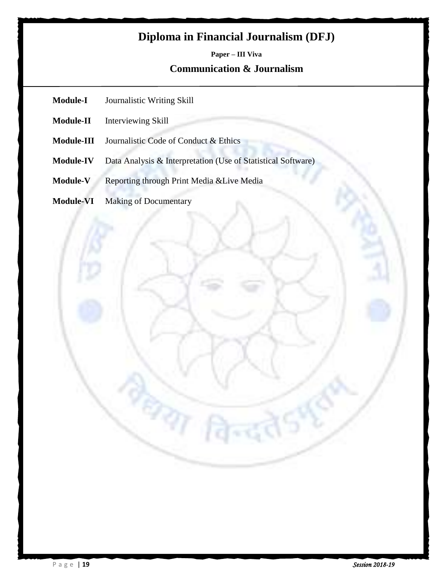# **Diploma in Financial Journalism (DFJ)**

# **Paper – III Viva Communication & Journalism**

- **Module-I** Journalistic Writing Skill
- **Module-II** Interviewing Skill
- **Module-III** Journalistic Code of Conduct & Ethics
- **Module-IV** Data Analysis & Interpretation (Use of Statistical Software)

 $\sigma_{\eta}$ 

- **Module-V** Reporting through Print Media &Live Media
- **Module-VI** Making of Documentary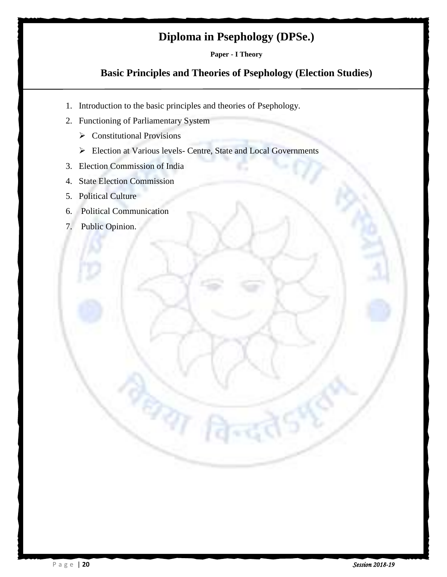# **Diploma in Psephology (DPSe.)**

**Paper - I Theory**

## **Basic Principles and Theories of Psephology (Election Studies)**

1. Introduction to the basic principles and theories of Psephology.

ज्या

- 2. Functioning of Parliamentary System
	- $\triangleright$  Constitutional Provisions
	- Election at Various levels- Centre, State and Local Governments
- 3. Election Commission of India
- 4. State Election Commission
- 5. Political Culture
- 6. Political Communication
- 7. Public Opinion.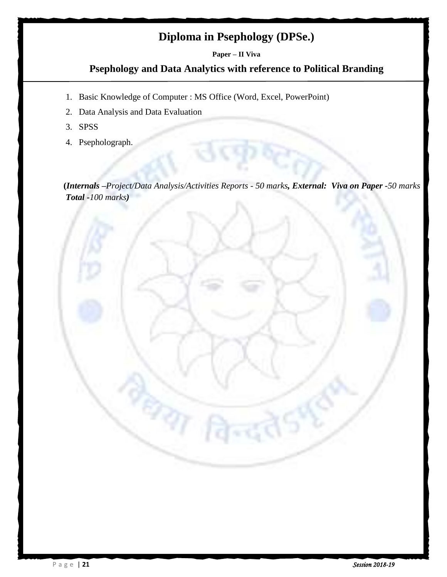# **Diploma in Psephology (DPSe.)**

#### **Paper – II Viva**

#### **Psephology and Data Analytics with reference to Political Branding**

1. Basic Knowledge of Computer : MS Office (Word, Excel, PowerPoint)

प्रका

- 2. Data Analysis and Data Evaluation
- 3. SPSS
- 4. Psepholograph.

 **(***Internals –Project/Data Analysis/Activities Reports - 50 marks, External: Viva on Paper -50 marks Total -100 marks)*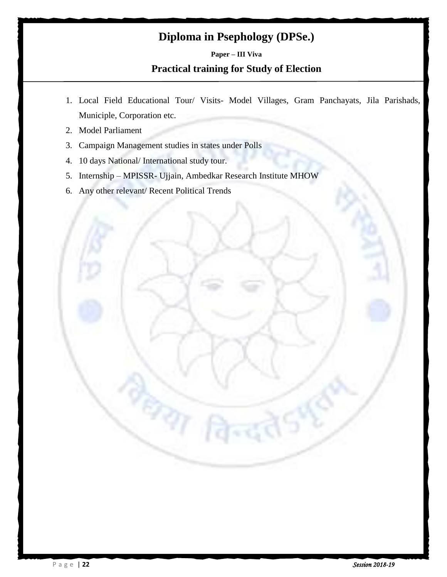# **Diploma in Psephology (DPSe.)**

# **Paper – III Viva Practical training for Study of Election**

- 1. Local Field Educational Tour/ Visits- Model Villages, Gram Panchayats, Jila Parishads, Municiple, Corporation etc.
- 2. Model Parliament
- 3. Campaign Management studies in states under Polls

 $\partial\overline{\eta}$ 

- 4. 10 days National/ International study tour.
- 5. Internship MPISSR- Ujjain, Ambedkar Research Institute MHOW
- 6. Any other relevant/ Recent Political Trends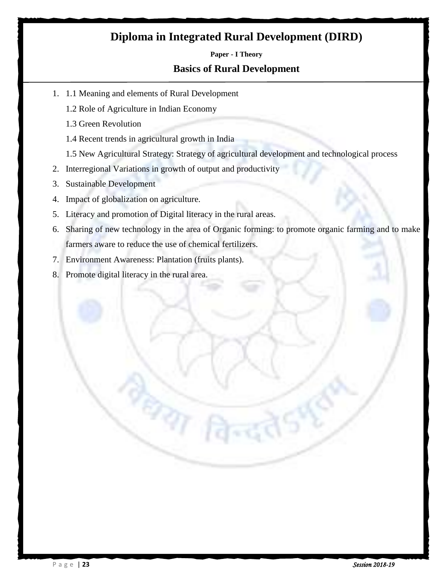# **Diploma in Integrated Rural Development (DIRD)**

#### **Paper - I Theory**

#### **Basics of Rural Development**

- 1. 1.1 Meaning and elements of Rural Development
	- 1.2 Role of Agriculture in Indian Economy
	- 1.3 Green Revolution
	- 1.4 Recent trends in agricultural growth in India
	- 1.5 New Agricultural Strategy: Strategy of agricultural development and technological process
- 2. Interregional Variations in growth of output and productivity
- 3. Sustainable Development
- 4. Impact of globalization on agriculture.
- 5. Literacy and promotion of Digital literacy in the rural areas.

ध्या

- 6. Sharing of new technology in the area of Organic forming: to promote organic farming and to make farmers aware to reduce the use of chemical fertilizers.
- 7. Environment Awareness: Plantation (fruits plants).
- 8. Promote digital literacy in the rural area.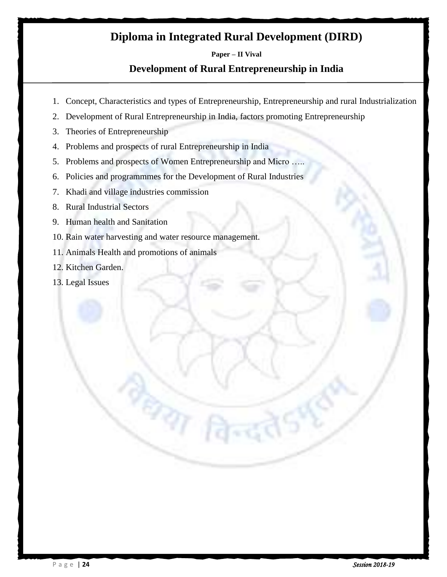# **Diploma in Integrated Rural Development (DIRD)**

#### **Paper – II Vival**

## **Development of Rural Entrepreneurship in India**

- 1. Concept, Characteristics and types of Entrepreneurship, Entrepreneurship and rural Industrialization
- 2. Development of Rural Entrepreneurship in India, factors promoting Entrepreneurship
- 3. Theories of Entrepreneurship
- 4. Problems and prospects of rural Entrepreneurship in India
- 5. Problems and prospects of Women Entrepreneurship and Micro …..
- 6. Policies and programmmes for the Development of Rural Industries
- 7. Khadi and village industries commission
- 8. Rural Industrial Sectors
- 9. Human health and Sanitation
- 10. Rain water harvesting and water resource management.

 $\sigma_{\gamma}$ 

- 11. Animals Health and promotions of animals
- 12. Kitchen Garden.
- 13. Legal Issues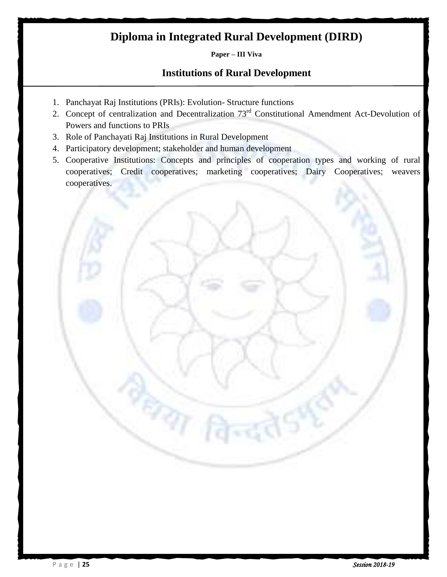# **Diploma in Integrated Rural Development (DIRD)**

#### **Paper – III Viva**

### **Institutions of Rural Development**

- 1. Panchayat Raj Institutions (PRIs): Evolution- Structure functions
- 2. Concept of centralization and Decentralization 73<sup>rd</sup> Constitutional Amendment Act-Devolution of Powers and functions to PRIs
- 3. Role of Panchayati Raj Institutions in Rural Development
- 4. Participatory development; stakeholder and human development

ज्या

5. Cooperative Institutions: Concepts and principles of cooperation types and working of rural cooperatives; Credit cooperatives; marketing cooperatives; Dairy Cooperatives; weavers cooperatives.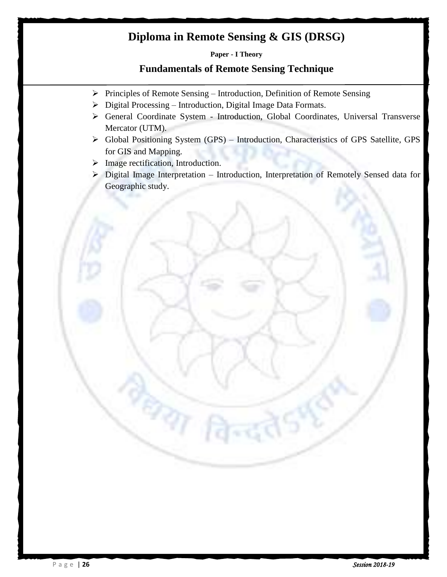# **Diploma in Remote Sensing & GIS (DRSG)**

**Paper - I Theory**

#### **Fundamentals of Remote Sensing Technique**

- $\triangleright$  Principles of Remote Sensing Introduction, Definition of Remote Sensing
- Digital Processing Introduction, Digital Image Data Formats.
- General Coordinate System Introduction, Global Coordinates, Universal Transverse Mercator (UTM).
- Global Positioning System (GPS) Introduction, Characteristics of GPS Satellite, GPS for GIS and Mapping.
- $\triangleright$  Image rectification, Introduction.

रश

 Digital Image Interpretation – Introduction, Interpretation of Remotely Sensed data for Geographic study.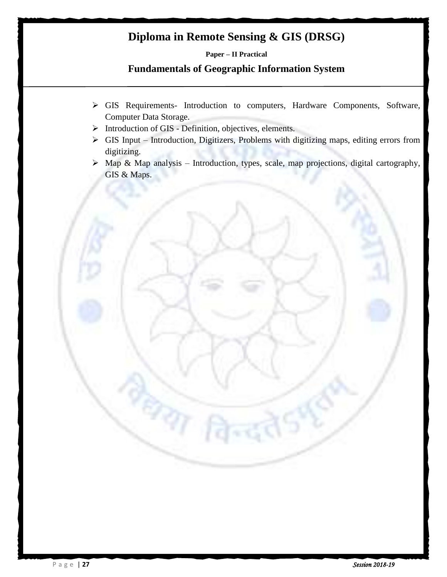# **Diploma in Remote Sensing & GIS (DRSG)**

**Paper – II Practical**

# **Fundamentals of Geographic Information System**

- GIS Requirements- Introduction to computers, Hardware Components, Software, Computer Data Storage.
- $\triangleright$  Introduction of GIS Definition, objectives, elements.

 $\sigma_{\eta}$ 

- $\triangleright$  GIS Input Introduction, Digitizers, Problems with digitizing maps, editing errors from digitizing.
- $\triangleright$  Map & Map analysis Introduction, types, scale, map projections, digital cartography, GIS & Maps.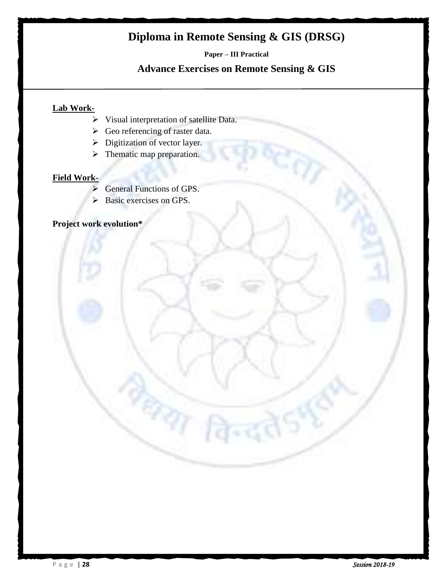# **Diploma in Remote Sensing & GIS (DRSG)**

**Paper – III Practical**

#### **Advance Exercises on Remote Sensing & GIS**

#### **Lab Work-**

Visual interpretation of satellite Data.

 $\tau_{\rm 3T}$ 

- $\triangleright$  Geo referencing of raster data.
- $\triangleright$  Digitization of vector layer.
- $\triangleright$  Thematic map preparation.

#### **Field Work-**

- ▶ General Functions of GPS.
- Basic exercises on GPS.

# **Project work evolution\***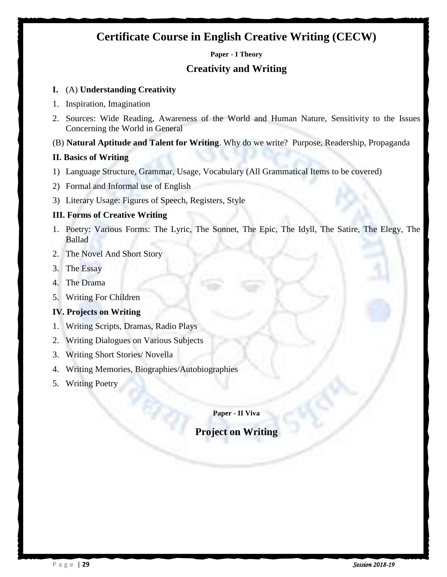# **Certificate Course in English Creative Writing (CECW)**

**Paper - I Theory**

#### **Creativity and Writing**

#### **I.** (A) **Understanding Creativity**

- 1. Inspiration, Imagination
- 2. Sources: Wide Reading, Awareness of the World and Human Nature, Sensitivity to the Issues Concerning the World in General

#### (B) **Natural Aptitude and Talent for Writing**. Why do we write? Purpose, Readership, Propaganda

#### **II. Basics of Writing**

- 1) Language Structure, Grammar, Usage, Vocabulary (All Grammatical Items to be covered)
- 2) Formal and Informal use of English
- 3) Literary Usage: Figures of Speech, Registers, Style

#### **III. Forms of Creative Writing**

- 1. Poetry: Various Forms: The Lyric, The Sonnet, The Epic, The Idyll, The Satire, The Elegy, The Ballad
- 2. The Novel And Short Story
- 3. The Essay
- 4. The Drama
- 5. Writing For Children

#### **IV. Projects on Writing**

- 1. Writing Scripts, Dramas, Radio Plays
- 2. Writing Dialogues on Various Subjects
- 3. Writing Short Stories/ Novella
- 4. Writing Memories, Biographies/Autobiographies

್ಯಾ

5. Writing Poetry

#### **Paper - II Viva**

# **Project on Writing**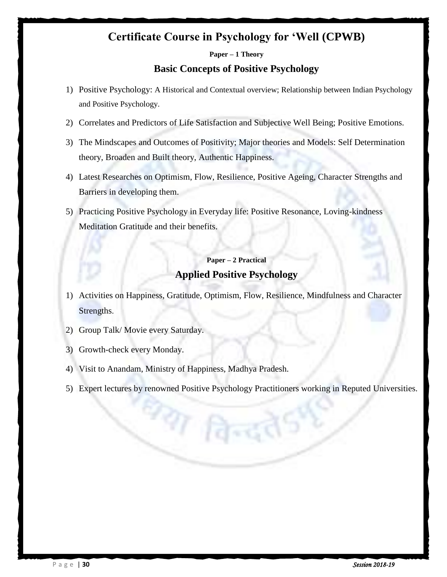# **Certificate Course in Psychology for 'Well (CPWB)**

#### **Paper – 1 Theory**

#### **Basic Concepts of Positive Psychology**

- 1) Positive Psychology: A Historical and Contextual overview; Relationship between Indian Psychology and Positive Psychology.
- 2) Correlates and Predictors of Life Satisfaction and Subjective Well Being; Positive Emotions.
- 3) The Mindscapes and Outcomes of Positivity; Major theories and Models: Self Determination theory, Broaden and Built theory, Authentic Happiness.
- 4) Latest Researches on Optimism, Flow, Resilience, Positive Ageing, Character Strengths and Barriers in developing them.
- 5) Practicing Positive Psychology in Everyday life: Positive Resonance, Loving-kindness Meditation Gratitude and their benefits.

# **Paper – 2 Practical Applied Positive Psychology**

- 1) Activities on Happiness, Gratitude, Optimism, Flow, Resilience, Mindfulness and Character Strengths.
- 2) Group Talk/ Movie every Saturday.
- 3) Growth-check every Monday.
- 4) Visit to Anandam, Ministry of Happiness, Madhya Pradesh.

श्या विन्द

5) Expert lectures by renowned Positive Psychology Practitioners working in Reputed Universities.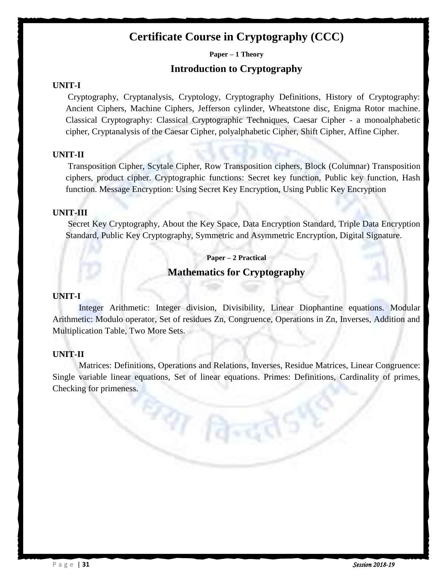# **Certificate Course in Cryptography (CCC)**

**Paper – 1 Theory**

#### **Introduction to Cryptography**

#### **UNIT-I**

Cryptography, Cryptanalysis, Cryptology, Cryptography Definitions, History of Cryptography: Ancient Ciphers, Machine Ciphers, Jefferson cylinder, Wheatstone disc, Enigma Rotor machine. Classical Cryptography: Classical Cryptographic Techniques, Caesar Cipher - a monoalphabetic cipher, Cryptanalysis of the Caesar Cipher, polyalphabetic Cipher, Shift Cipher, Affine Cipher.

#### **UNIT-II**

Transposition Cipher, Scytale Cipher, Row Transposition ciphers, Block (Columnar) Transposition ciphers, product cipher. Cryptographic functions: Secret key function, Public key function, Hash function. Message Encryption: Using Secret Key Encryption, Using Public Key Encryption

#### **UNIT-III**

Secret Key Cryptography, About the Key Space, Data Encryption Standard, Triple Data Encryption Standard, Public Key Cryptography, Symmetric and Asymmetric Encryption, Digital Signature.

**Paper – 2 Practical**

#### **Mathematics for Cryptography**

#### **UNIT-I**

Integer Arithmetic: Integer division, Divisibility, Linear Diophantine equations. Modular Arithmetic: Modulo operator, Set of residues Zn, Congruence, Operations in Zn, Inverses, Addition and Multiplication Table, Two More Sets.

#### **UNIT-II**

Matrices: Definitions, Operations and Relations, Inverses, Residue Matrices, Linear Congruence: Single variable linear equations, Set of linear equations. Primes: Definitions, Cardinality of primes, Checking for primeness.

**PAT Pare**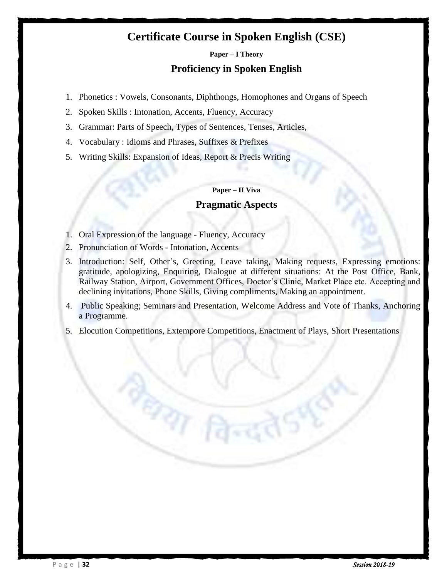# **Certificate Course in Spoken English (CSE)**

#### **Paper – I Theory**

#### **Proficiency in Spoken English**

- 1. Phonetics : Vowels, Consonants, Diphthongs, Homophones and Organs of Speech
- 2. Spoken Skills : Intonation, Accents, Fluency, Accuracy
- 3. Grammar: Parts of Speech, Types of Sentences, Tenses, Articles,
- 4. Vocabulary : Idioms and Phrases, Suffixes & Prefixes
- 5. Writing Skills: Expansion of Ideas, Report & Precis Writing

#### **Paper – II Viva**

#### **Pragmatic Aspects**

1. Oral Expression of the language - Fluency, Accuracy

ध्या

- 2. Pronunciation of Words Intonation, Accents
- 3. Introduction: Self, Other's, Greeting, Leave taking, Making requests, Expressing emotions: gratitude, apologizing, Enquiring, Dialogue at different situations: At the Post Office, Bank, Railway Station, Airport, Government Offices, Doctor"s Clinic, Market Place etc. Accepting and declining invitations, Phone Skills, Giving compliments, Making an appointment.
- 4. Public Speaking; Seminars and Presentation, Welcome Address and Vote of Thanks, Anchoring a Programme.
- 5. Elocution Competitions, Extempore Competitions, Enactment of Plays, Short Presentations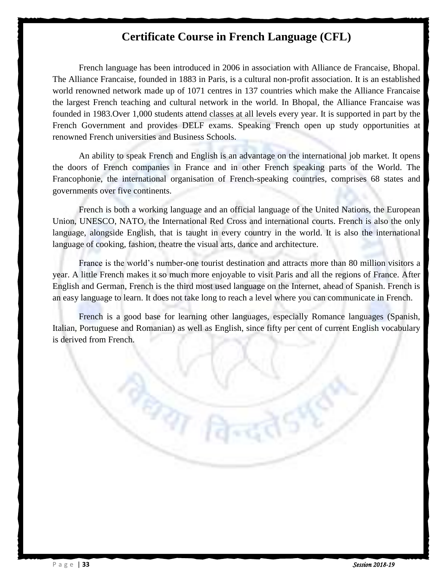# **Certificate Course in French Language (CFL)**

French language has been introduced in 2006 in association with Alliance de Francaise, Bhopal. The Alliance Francaise, founded in 1883 in Paris, is a cultural non-profit association. It is an established world renowned network made up of 1071 centres in 137 countries which make the Alliance Francaise the largest French teaching and cultural network in the world. In Bhopal, the Alliance Francaise was founded in 1983.Over 1,000 students attend classes at all levels every year. It is supported in part by the French Government and provides DELF exams. Speaking French open up study opportunities at renowned French universities and Business Schools.

An ability to speak French and English is an advantage on the international job market. It opens the doors of French companies in France and in other French speaking parts of the World. The Francophonie, the international organisation of French-speaking countries, comprises 68 states and governments over five continents.

French is both a working language and an official language of the United Nations, the European Union, UNESCO, NATO, the International Red Cross and international courts. French is also the only language, alongside English, that is taught in every country in the world. It is also the international language of cooking, fashion, theatre the visual arts, dance and architecture.

France is the world"s number-one tourist destination and attracts more than 80 million visitors a year. A little French makes it so much more enjoyable to visit Paris and all the regions of France. After English and German, French is the third most used language on the Internet, ahead of Spanish. French is an easy language to learn. It does not take long to reach a level where you can communicate in French.

French is a good base for learning other languages, especially Romance languages (Spanish, Italian, Portuguese and Romanian) as well as English, since fifty per cent of current English vocabulary is derived from French.

**PAT R**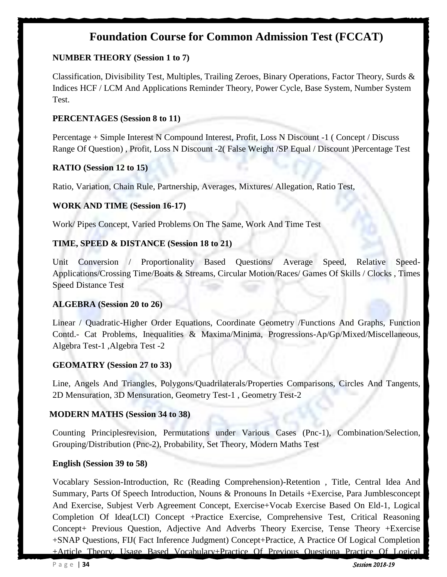# **Foundation Course for Common Admission Test (FCCAT)**

#### **NUMBER THEORY (Session 1 to 7)**

Classification, Divisibility Test, Multiples, Trailing Zeroes, Binary Operations, Factor Theory, Surds & Indices HCF / LCM And Applications Reminder Theory, Power Cycle, Base System, Number System Test.

#### **PERCENTAGES (Session 8 to 11)**

Percentage + Simple Interest N Compound Interest, Profit, Loss N Discount -1 ( Concept / Discuss Range Of Question) , Profit, Loss N Discount -2( False Weight /SP Equal / Discount )Percentage Test

#### **RATIO (Session 12 to 15)**

Ratio, Variation, Chain Rule, Partnership, Averages, Mixtures/ Allegation, Ratio Test,

#### **WORK AND TIME (Session 16-17)**

Work/ Pipes Concept, Varied Problems On The Same, Work And Time Test

#### **TIME, SPEED & DISTANCE (Session 18 to 21)**

Unit Conversion / Proportionality Based Questions/ Average Speed, Relative Speed-Applications/Crossing Time/Boats & Streams, Circular Motion/Races/ Games Of Skills / Clocks , Times Speed Distance Test

#### **ALGEBRA (Session 20 to 26)**

Linear / Quadratic-Higher Order Equations, Coordinate Geometry /Functions And Graphs, Function Contd.- Cat Problems, Inequalities & Maxima/Minima, Progressions-Ap/Gp/Mixed/Miscellaneous, Algebra Test-1 ,Algebra Test -2

#### **GEOMATRY (Session 27 to 33)**

Line, Angels And Triangles, Polygons/Quadrilaterals/Properties Comparisons, Circles And Tangents, 2D Mensuration, 3D Mensuration, Geometry Test-1 , Geometry Test-2

#### **MODERN MATHS (Session 34 to 38)**

Counting Principlesrevision, Permutations under Various Cases (Pnc-1), Combination/Selection, Grouping/Distribution (Pnc-2), Probability, Set Theory, Modern Maths Test

#### **English (Session 39 to 58)**

Vocablary Session-Introduction, Rc (Reading Comprehension)-Retention , Title, Central Idea And Summary, Parts Of Speech Introduction, Nouns & Pronouns In Details +Exercise, Para Jumblesconcept And Exercise, Subjest Verb Agreement Concept, Exercise+Vocab Exercise Based On Eld-1, Logical Completion Of Idea(LCI) Concept +Practice Exercise, Comprehensive Test, Critical Reasoning Concept+ Previous Question, Adjective And Adverbs Theory Exercise, Tense Theory +Exercise +SNAP Questions, FIJ( Fact Inference Judgment) Concept+Practice, A Practice Of Logical Completion +Article Theory, Usage Based Vocabulary+Practice Of Previous Questiona Practice Of Logical